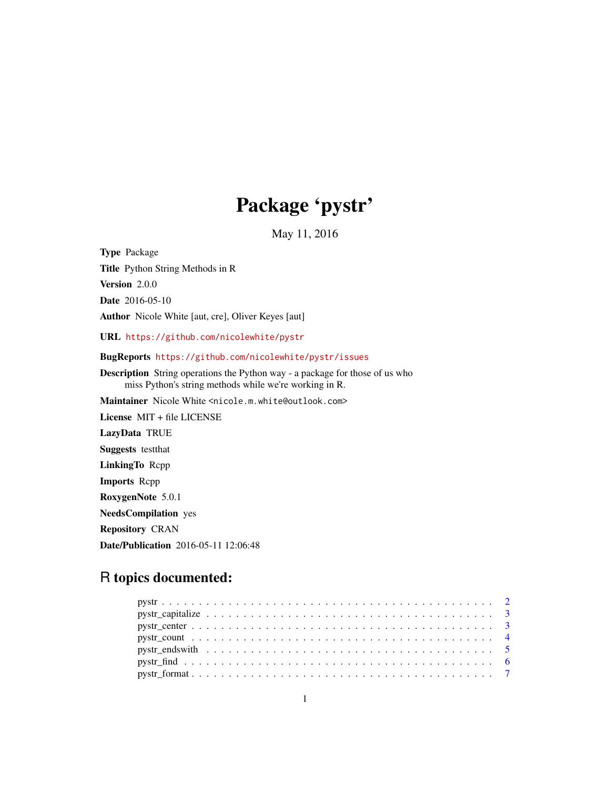## Package 'pystr'

May 11, 2016

Type Package Title Python String Methods in R Version 2.0.0 Date 2016-05-10 Author Nicole White [aut, cre], Oliver Keyes [aut] URL <https://github.com/nicolewhite/pystr> BugReports <https://github.com/nicolewhite/pystr/issues> Description String operations the Python way - a package for those of us who miss Python's string methods while we're working in R. Maintainer Nicole White <nicole.m.white@outlook.com> License MIT + file LICENSE LazyData TRUE Suggests testthat LinkingTo Rcpp Imports Rcpp RoxygenNote 5.0.1 NeedsCompilation yes Repository CRAN Date/Publication 2016-05-11 12:06:48

## R topics documented:

| $\text{pystr\_format} \dots \dots \dots \dots \dots \dots \dots \dots \dots \dots \dots \dots \dots \dots \dots \dots \dots \dots$ |  |
|------------------------------------------------------------------------------------------------------------------------------------|--|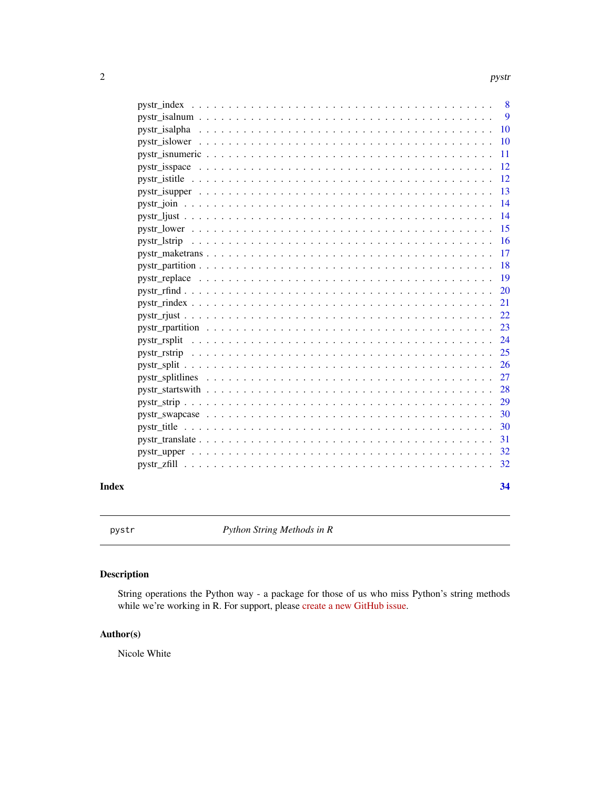<span id="page-1-0"></span>

| Index |                                                                                                                      | 34             |
|-------|----------------------------------------------------------------------------------------------------------------------|----------------|
|       |                                                                                                                      | 32             |
|       |                                                                                                                      | 32             |
|       |                                                                                                                      | 31             |
|       |                                                                                                                      | 30             |
|       |                                                                                                                      | 30             |
|       |                                                                                                                      | 29             |
|       |                                                                                                                      | 28             |
|       |                                                                                                                      | 27             |
|       |                                                                                                                      | <b>26</b>      |
|       |                                                                                                                      | 25             |
|       |                                                                                                                      | 24             |
|       |                                                                                                                      | 23             |
|       |                                                                                                                      | 22             |
|       |                                                                                                                      | 21             |
|       |                                                                                                                      | <b>20</b>      |
|       |                                                                                                                      | 19             |
|       |                                                                                                                      | 18             |
|       |                                                                                                                      | 17             |
|       |                                                                                                                      | <b>16</b>      |
|       | $pystr\_lower \dots \dots \dots \dots \dots \dots \dots \dots \dots \dots \dots \dots \dots \dots \dots \dots \dots$ | 15             |
|       |                                                                                                                      | 14             |
|       |                                                                                                                      | 14             |
|       |                                                                                                                      | 13             |
|       |                                                                                                                      | 12             |
|       |                                                                                                                      | 12             |
|       |                                                                                                                      | 11             |
|       |                                                                                                                      | <b>10</b>      |
|       |                                                                                                                      | 9<br><b>10</b> |
|       |                                                                                                                      | 8              |
|       |                                                                                                                      |                |

pystr *Python String Methods in R*

## Description

String operations the Python way - a package for those of us who miss Python's string methods while we're working in R. For support, please [create a new GitHub issue.](https://github.com/nicolewhite/pystr/issues)

## Author(s)

Nicole White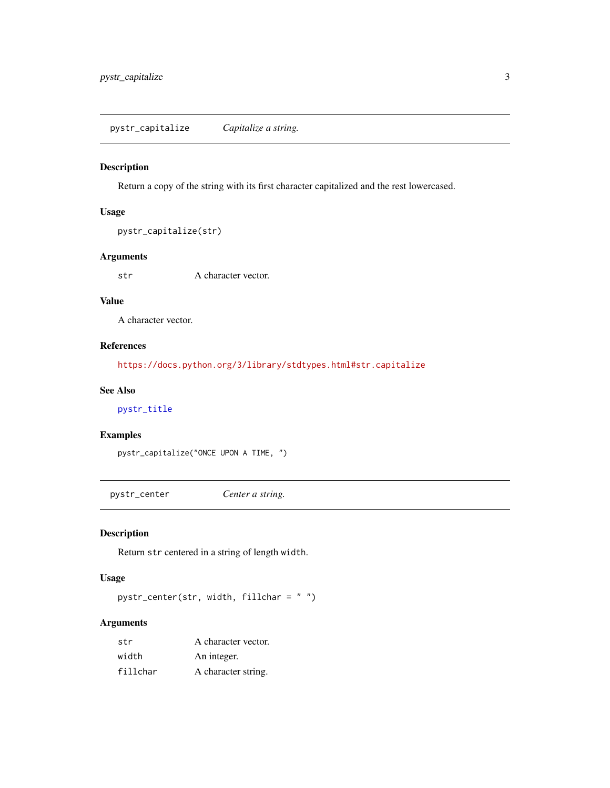<span id="page-2-0"></span>pystr\_capitalize *Capitalize a string.*

#### Description

Return a copy of the string with its first character capitalized and the rest lowercased.

#### Usage

```
pystr_capitalize(str)
```
## Arguments

str A character vector.

## Value

A character vector.

## References

<https://docs.python.org/3/library/stdtypes.html#str.capitalize>

## See Also

## [pystr\\_title](#page-29-1)

#### Examples

```
pystr_capitalize("ONCE UPON A TIME, ")
```
pystr\_center *Center a string.*

## Description

Return str centered in a string of length width.

#### Usage

pystr\_center(str, width, fillchar = " ")

## Arguments

| str      | A character vector. |
|----------|---------------------|
| width    | An integer.         |
| fillchar | A character string. |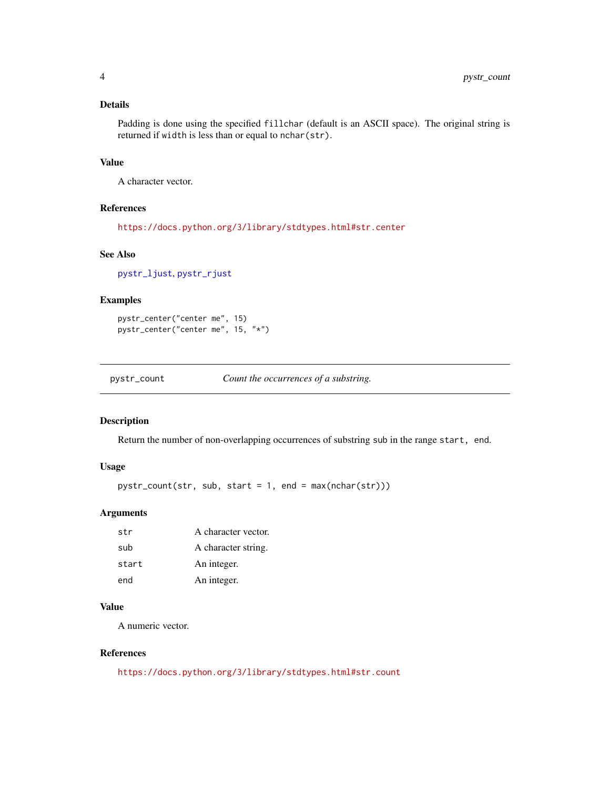## <span id="page-3-0"></span>Details

Padding is done using the specified fillchar (default is an ASCII space). The original string is returned if width is less than or equal to nchar(str).

## Value

A character vector.

#### References

<https://docs.python.org/3/library/stdtypes.html#str.center>

#### See Also

[pystr\\_ljust](#page-13-1), [pystr\\_rjust](#page-21-1)

## Examples

pystr\_center("center me", 15) pystr\_center("center me", 15, "\*")

pystr\_count *Count the occurrences of a substring.*

## Description

Return the number of non-overlapping occurrences of substring sub in the range start, end.

## Usage

```
pystr_count(str, sub, start = 1, end = max(nchar(str)))
```
#### Arguments

| str   | A character vector. |
|-------|---------------------|
| sub   | A character string. |
| start | An integer.         |
| end   | An integer.         |

## Value

A numeric vector.

## References

<https://docs.python.org/3/library/stdtypes.html#str.count>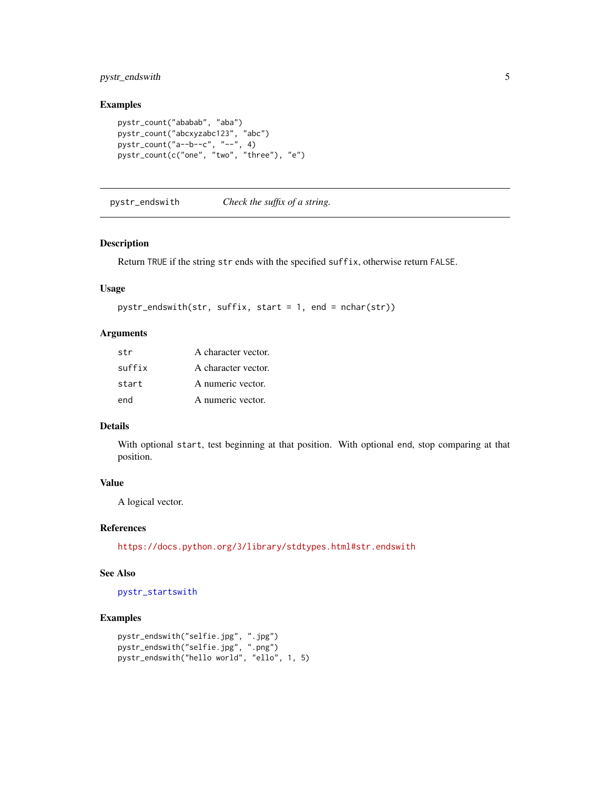## <span id="page-4-0"></span>pystr\_endswith 5

## Examples

```
pystr_count("ababab", "aba")
pystr_count("abcxyzabc123", "abc")
pystr_count("a--b--c", "--", 4)
pystr_count(c("one", "two", "three"), "e")
```
<span id="page-4-1"></span>pystr\_endswith *Check the suffix of a string.*

#### Description

Return TRUE if the string str ends with the specified suffix, otherwise return FALSE.

#### Usage

```
pystr_endswith(str, suffix, start = 1, end = nchar(str))
```
#### Arguments

| str    | A character vector. |
|--------|---------------------|
| suffix | A character vector. |
| start  | A numeric vector.   |
| end    | A numeric vector.   |

#### Details

With optional start, test beginning at that position. With optional end, stop comparing at that position.

#### Value

A logical vector.

#### References

<https://docs.python.org/3/library/stdtypes.html#str.endswith>

#### See Also

[pystr\\_startswith](#page-27-1)

```
pystr_endswith("selfie.jpg", ".jpg")
pystr_endswith("selfie.jpg", ".png")
pystr_endswith("hello world", "ello", 1, 5)
```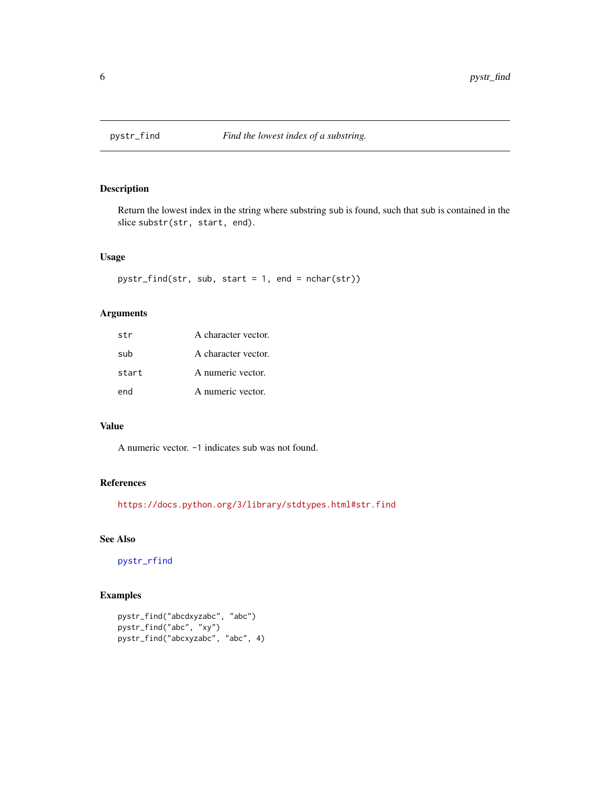<span id="page-5-1"></span><span id="page-5-0"></span>

Return the lowest index in the string where substring sub is found, such that sub is contained in the slice substr(str, start, end).

#### Usage

```
pystr_find(str, sub, start = 1, end = nchar(str))
```
## Arguments

| str   | A character vector. |
|-------|---------------------|
| sub   | A character vector. |
| start | A numeric vector.   |
| end   | A numeric vector.   |

## Value

A numeric vector. -1 indicates sub was not found.

## References

<https://docs.python.org/3/library/stdtypes.html#str.find>

## See Also

[pystr\\_rfind](#page-19-1)

```
pystr_find("abcdxyzabc", "abc")
pystr_find("abc", "xy")
pystr_find("abcxyzabc", "abc", 4)
```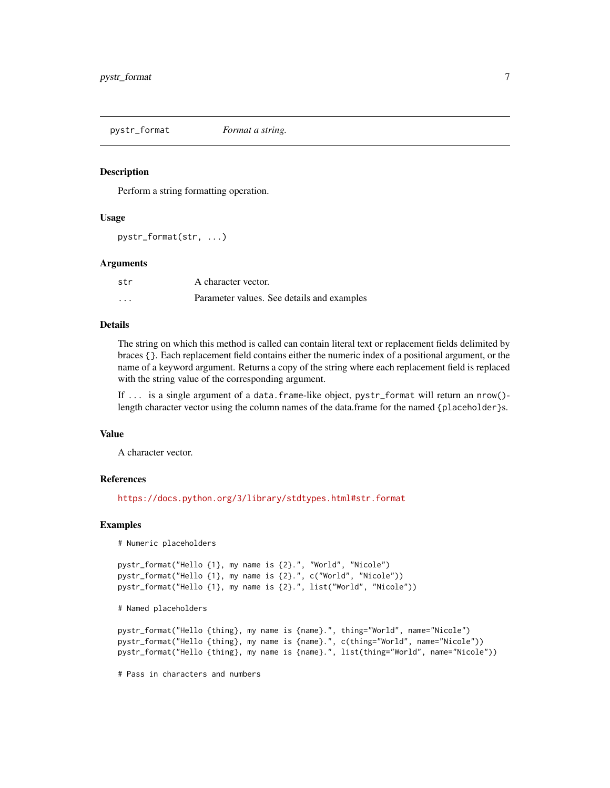<span id="page-6-0"></span>pystr\_format *Format a string.*

#### **Description**

Perform a string formatting operation.

#### Usage

pystr\_format(str, ...)

#### Arguments

| str     | A character vector.                        |
|---------|--------------------------------------------|
| $\cdot$ | Parameter values. See details and examples |

## Details

The string on which this method is called can contain literal text or replacement fields delimited by braces {}. Each replacement field contains either the numeric index of a positional argument, or the name of a keyword argument. Returns a copy of the string where each replacement field is replaced with the string value of the corresponding argument.

If ... is a single argument of a data.frame-like object, pystr\_format will return an nrow()length character vector using the column names of the data.frame for the named {placeholder}s.

#### Value

A character vector.

#### References

<https://docs.python.org/3/library/stdtypes.html#str.format>

#### Examples

```
# Numeric placeholders
```

```
pystr_format("Hello {1}, my name is {2}.", "World", "Nicole")
pystr_format("Hello {1}, my name is {2}.", c("World", "Nicole"))
pystr_format("Hello {1}, my name is {2}.", list("World", "Nicole"))
```
# Named placeholders

```
pystr_format("Hello {thing}, my name is {name}.", thing="World", name="Nicole")
pystr_format("Hello {thing}, my name is {name}.", c(thing="World", name="Nicole"))
pystr_format("Hello {thing}, my name is {name}.", list(thing="World", name="Nicole"))
```
# Pass in characters and numbers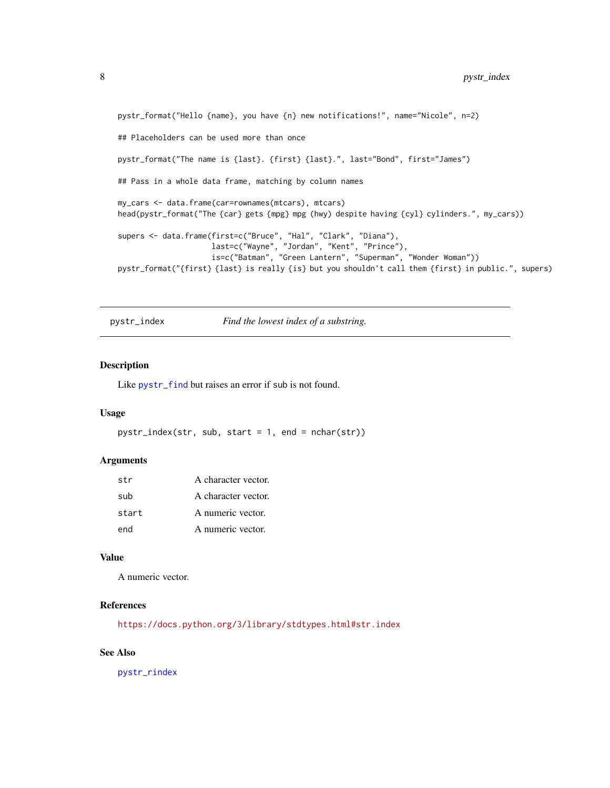```
pystr_format("Hello {name}, you have {n} new notifications!", name="Nicole", n=2)
## Placeholders can be used more than once
pystr_format("The name is {last}. {first} {last}.", last="Bond", first="James")
## Pass in a whole data frame, matching by column names
my_cars <- data.frame(car=rownames(mtcars), mtcars)
head(pystr_format("The {car} gets {mpg} mpg (hwy) despite having {cyl} cylinders.", my_cars))
supers <- data.frame(first=c("Bruce", "Hal", "Clark", "Diana"),
                     last=c("Wayne", "Jordan", "Kent", "Prince"),
                     is=c("Batman", "Green Lantern", "Superman", "Wonder Woman"))
pystr_format("{first} {last} is really {is} but you shouldn't call them {first} in public.", supers)
```
<span id="page-7-1"></span>pystr\_index *Find the lowest index of a substring.*

#### Description

Like [pystr\\_find](#page-5-1) but raises an error if sub is not found.

#### Usage

```
pystr_index(str, sub, start = 1, end = nchar(str))
```
#### Arguments

| str   | A character vector. |
|-------|---------------------|
| sub   | A character vector. |
| start | A numeric vector.   |
| end   | A numeric vector.   |

#### Value

A numeric vector.

## References

<https://docs.python.org/3/library/stdtypes.html#str.index>

## See Also

[pystr\\_rindex](#page-20-1)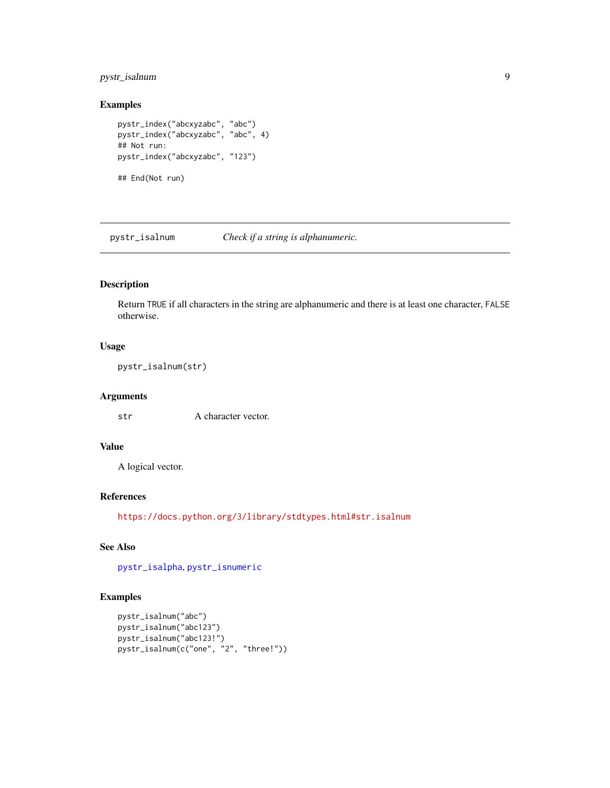## <span id="page-8-0"></span>pystr\_isalnum 9

## Examples

```
pystr_index("abcxyzabc", "abc")
pystr_index("abcxyzabc", "abc", 4)
## Not run:
pystr_index("abcxyzabc", "123")
## End(Not run)
```
<span id="page-8-1"></span>pystr\_isalnum *Check if a string is alphanumeric.*

## Description

Return TRUE if all characters in the string are alphanumeric and there is at least one character, FALSE otherwise.

## Usage

pystr\_isalnum(str)

#### Arguments

str A character vector.

## Value

A logical vector.

#### References

<https://docs.python.org/3/library/stdtypes.html#str.isalnum>

## See Also

[pystr\\_isalpha](#page-9-1), [pystr\\_isnumeric](#page-10-1)

```
pystr_isalnum("abc")
pystr_isalnum("abc123")
pystr_isalnum("abc123!")
pystr_isalnum(c("one", "2", "three!"))
```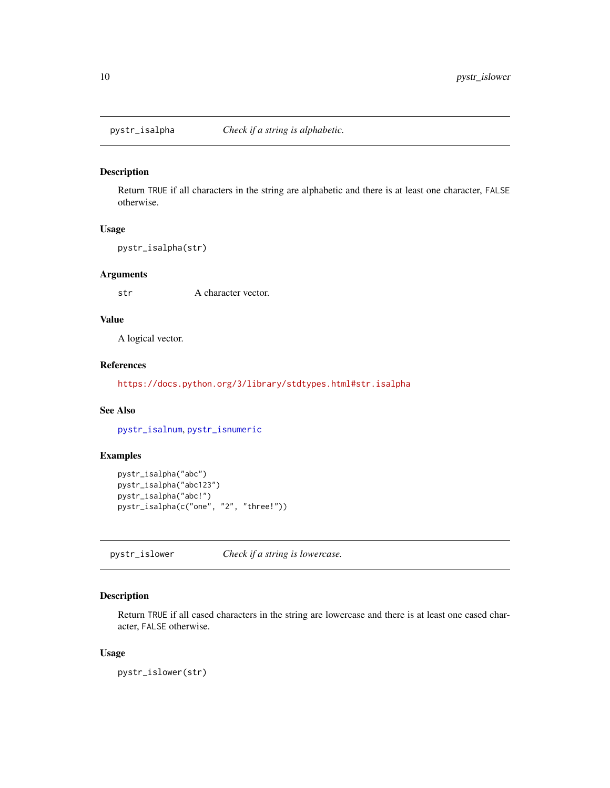<span id="page-9-1"></span><span id="page-9-0"></span>

Return TRUE if all characters in the string are alphabetic and there is at least one character, FALSE otherwise.

#### Usage

```
pystr_isalpha(str)
```
## Arguments

str A character vector.

## Value

A logical vector.

#### References

<https://docs.python.org/3/library/stdtypes.html#str.isalpha>

## See Also

[pystr\\_isalnum](#page-8-1), [pystr\\_isnumeric](#page-10-1)

## Examples

```
pystr_isalpha("abc")
pystr_isalpha("abc123")
pystr_isalpha("abc!")
pystr_isalpha(c("one", "2", "three!"))
```
<span id="page-9-2"></span>pystr\_islower *Check if a string is lowercase.*

## Description

Return TRUE if all cased characters in the string are lowercase and there is at least one cased character, FALSE otherwise.

#### Usage

pystr\_islower(str)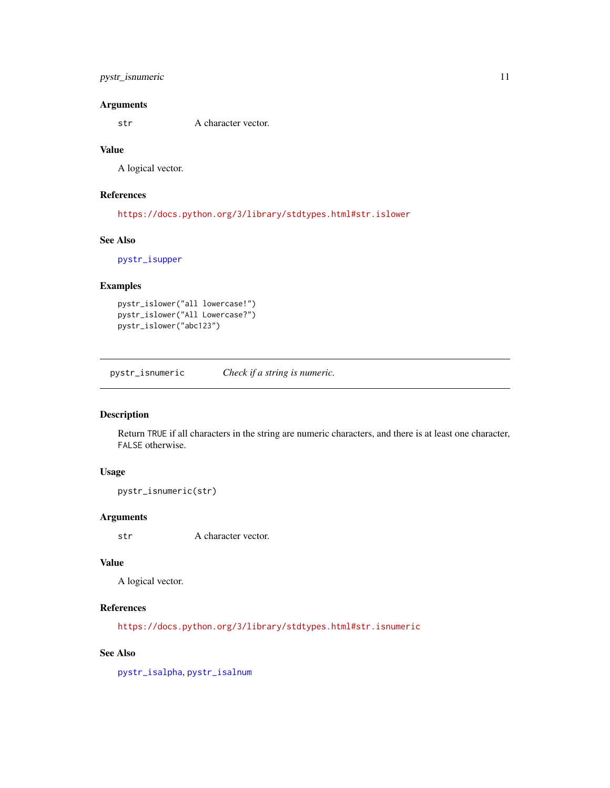## <span id="page-10-0"></span>pystr\_isnumeric 11

### Arguments

str A character vector.

## Value

A logical vector.

## References

<https://docs.python.org/3/library/stdtypes.html#str.islower>

## See Also

[pystr\\_isupper](#page-12-1)

## Examples

```
pystr_islower("all lowercase!")
pystr_islower("All Lowercase?")
pystr_islower("abc123")
```
<span id="page-10-1"></span>pystr\_isnumeric *Check if a string is numeric.*

#### Description

Return TRUE if all characters in the string are numeric characters, and there is at least one character, FALSE otherwise.

#### Usage

pystr\_isnumeric(str)

#### Arguments

str A character vector.

#### Value

A logical vector.

## References

<https://docs.python.org/3/library/stdtypes.html#str.isnumeric>

## See Also

[pystr\\_isalpha](#page-9-1), [pystr\\_isalnum](#page-8-1)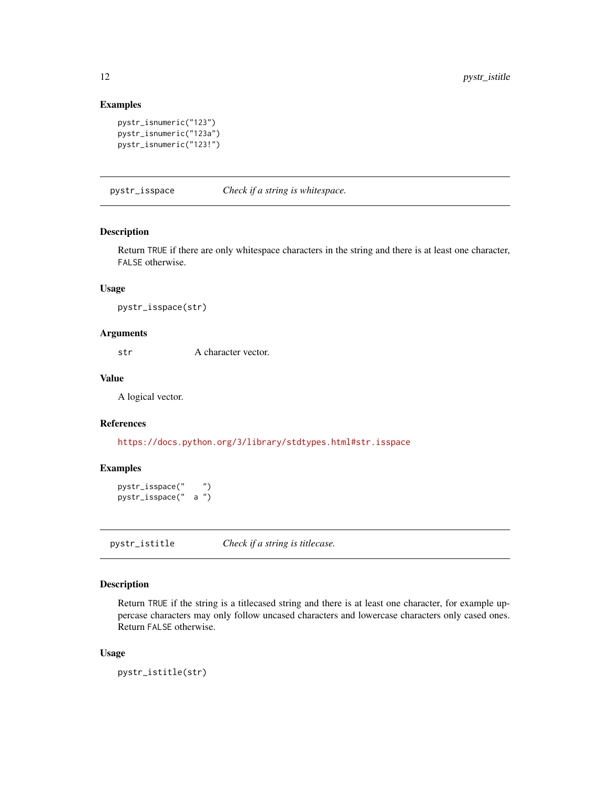## Examples

```
pystr_isnumeric("123")
pystr_isnumeric("123a")
pystr_isnumeric("123!")
```
pystr\_isspace *Check if a string is whitespace.*

#### Description

Return TRUE if there are only whitespace characters in the string and there is at least one character, FALSE otherwise.

#### Usage

pystr\_isspace(str)

#### Arguments

str A character vector.

### Value

A logical vector.

#### References

<https://docs.python.org/3/library/stdtypes.html#str.isspace>

## Examples

```
pystr_isspace(" ")
pystr_isspace(" a ")
```
pystr\_istitle *Check if a string is titlecase.*

## Description

Return TRUE if the string is a titlecased string and there is at least one character, for example uppercase characters may only follow uncased characters and lowercase characters only cased ones. Return FALSE otherwise.

#### Usage

```
pystr_istitle(str)
```
<span id="page-11-0"></span>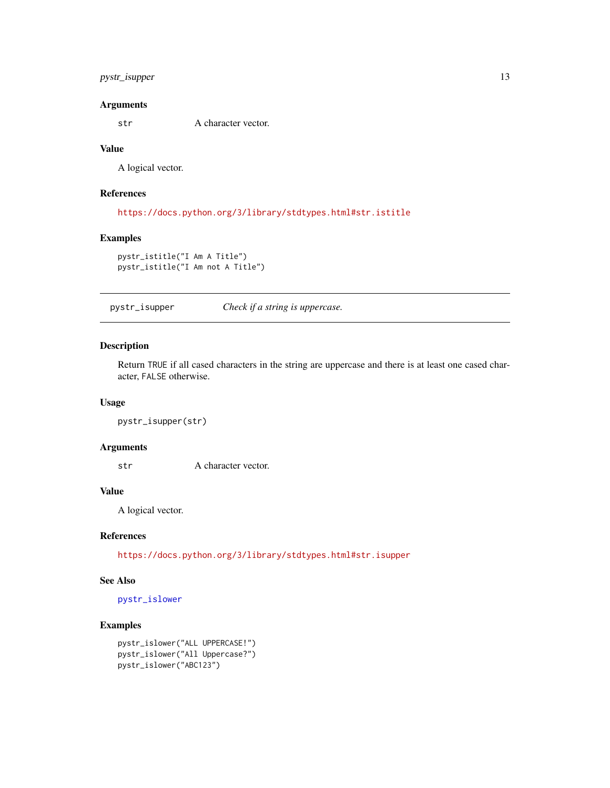## <span id="page-12-0"></span>pystr\_isupper 13

#### Arguments

str A character vector.

## Value

A logical vector.

## References

<https://docs.python.org/3/library/stdtypes.html#str.istitle>

## Examples

```
pystr_istitle("I Am A Title")
pystr_istitle("I Am not A Title")
```
<span id="page-12-1"></span>pystr\_isupper *Check if a string is uppercase.*

#### Description

Return TRUE if all cased characters in the string are uppercase and there is at least one cased character, FALSE otherwise.

#### Usage

pystr\_isupper(str)

#### Arguments

str A character vector.

## Value

A logical vector.

#### References

<https://docs.python.org/3/library/stdtypes.html#str.isupper>

## See Also

[pystr\\_islower](#page-9-2)

```
pystr_islower("ALL UPPERCASE!")
pystr_islower("All Uppercase?")
pystr_islower("ABC123")
```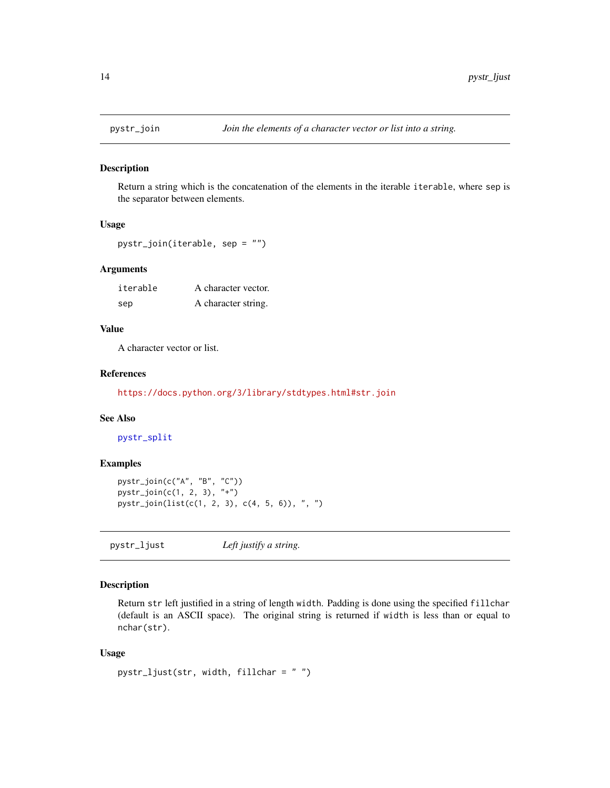<span id="page-13-2"></span><span id="page-13-0"></span>

Return a string which is the concatenation of the elements in the iterable iterable, where sep is the separator between elements.

#### Usage

```
pystr_join(iterable, sep = "")
```
## Arguments

| iterable | A character vector. |
|----------|---------------------|
| sep      | A character string. |

## Value

A character vector or list.

#### References

<https://docs.python.org/3/library/stdtypes.html#str.join>

## See Also

[pystr\\_split](#page-25-1)

## Examples

```
pystr_join(c("A", "B", "C"))
pystr_join(c(1, 2, 3), "+")
pystr_join(list(c(1, 2, 3), c(4, 5, 6)), ", ")
```
<span id="page-13-1"></span>pystr\_ljust *Left justify a string.*

## Description

Return str left justified in a string of length width. Padding is done using the specified fillchar (default is an ASCII space). The original string is returned if width is less than or equal to nchar(str).

#### Usage

```
pystr_ljust(str, width, fillchar = " ")
```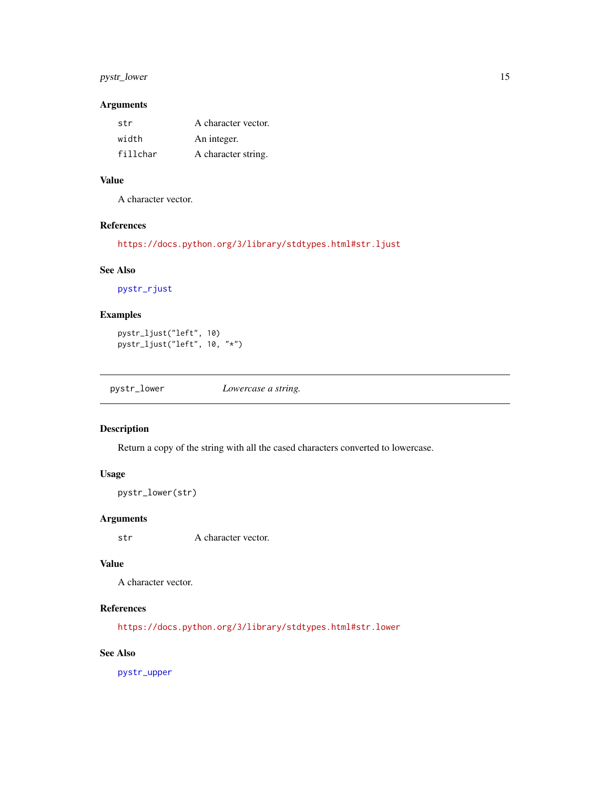## <span id="page-14-0"></span>pystr\_lower 15

## Arguments

| str      | A character vector. |
|----------|---------------------|
| width    | An integer.         |
| fillchar | A character string. |

## Value

A character vector.

## References

<https://docs.python.org/3/library/stdtypes.html#str.ljust>

## See Also

[pystr\\_rjust](#page-21-1)

## Examples

```
pystr_ljust("left", 10)
pystr_ljust("left", 10, "*")
```
<span id="page-14-1"></span>

| pystr_lower | Lowercase a string. |
|-------------|---------------------|
|-------------|---------------------|

## Description

Return a copy of the string with all the cased characters converted to lowercase.

## Usage

pystr\_lower(str)

#### Arguments

str A character vector.

## Value

A character vector.

## References

<https://docs.python.org/3/library/stdtypes.html#str.lower>

## See Also

[pystr\\_upper](#page-31-1)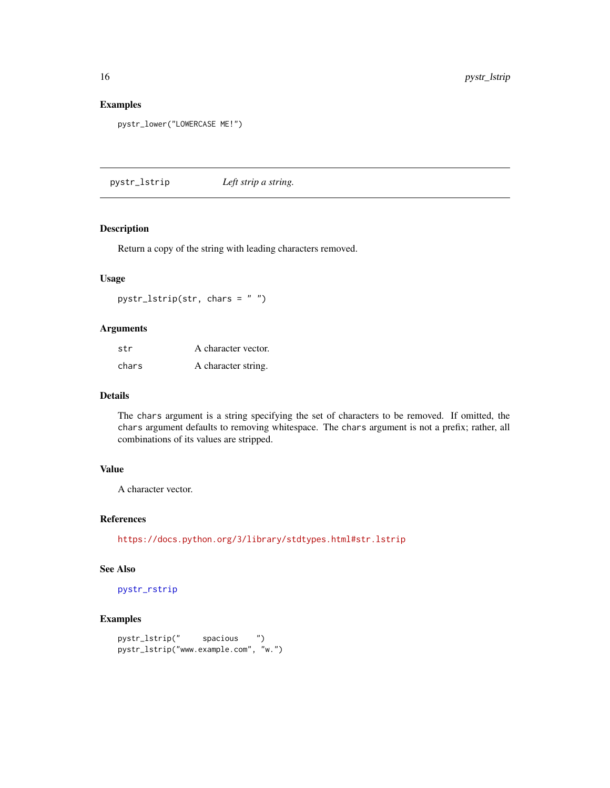## Examples

```
pystr_lower("LOWERCASE ME!")
```
<span id="page-15-1"></span>pystr\_lstrip *Left strip a string.*

## Description

Return a copy of the string with leading characters removed.

## Usage

pystr\_lstrip(str, chars = " ")

## Arguments

| str   | A character vector. |
|-------|---------------------|
| chars | A character string. |

## Details

The chars argument is a string specifying the set of characters to be removed. If omitted, the chars argument defaults to removing whitespace. The chars argument is not a prefix; rather, all combinations of its values are stripped.

## Value

A character vector.

#### References

<https://docs.python.org/3/library/stdtypes.html#str.lstrip>

## See Also

[pystr\\_rstrip](#page-24-1)

```
pystr_lstrip(" spacious ")
pystr_lstrip("www.example.com", "w.")
```
<span id="page-15-0"></span>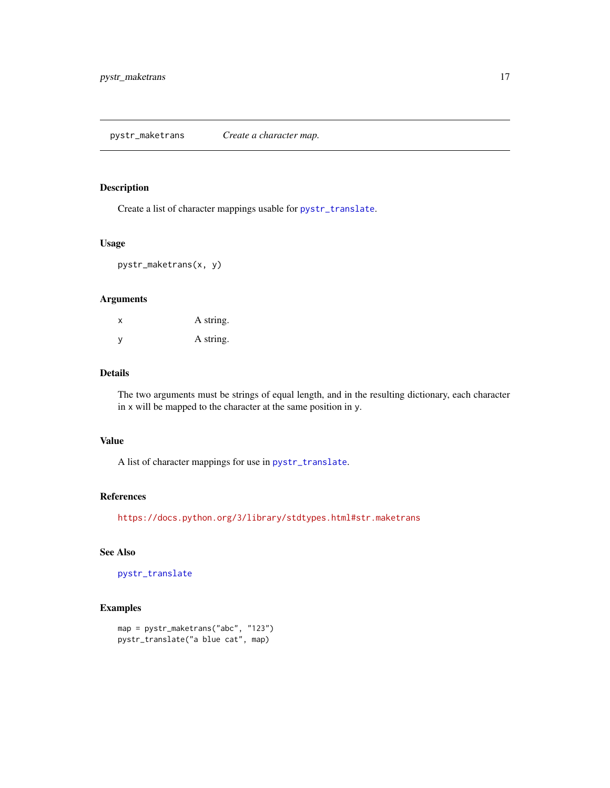<span id="page-16-1"></span><span id="page-16-0"></span>Create a list of character mappings usable for [pystr\\_translate](#page-30-1).

## Usage

pystr\_maketrans(x, y)

#### Arguments

| x | A string. |
|---|-----------|
| y | A string. |

#### Details

The two arguments must be strings of equal length, and in the resulting dictionary, each character in x will be mapped to the character at the same position in y.

#### Value

A list of character mappings for use in [pystr\\_translate](#page-30-1).

#### References

<https://docs.python.org/3/library/stdtypes.html#str.maketrans>

## See Also

[pystr\\_translate](#page-30-1)

```
map = pystr_maketrans("abc", "123")
pystr_translate("a blue cat", map)
```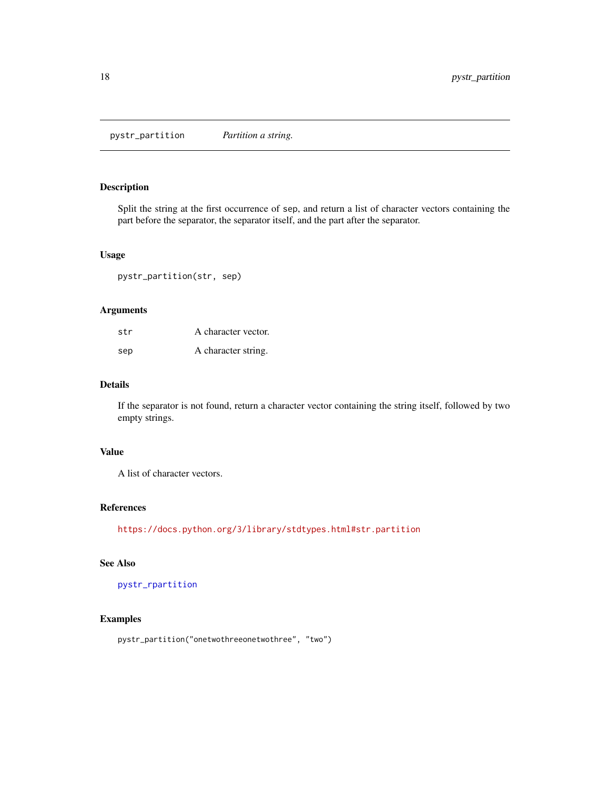<span id="page-17-1"></span><span id="page-17-0"></span>pystr\_partition *Partition a string.*

#### Description

Split the string at the first occurrence of sep, and return a list of character vectors containing the part before the separator, the separator itself, and the part after the separator.

#### Usage

```
pystr_partition(str, sep)
```
#### Arguments

| str | A character vector. |
|-----|---------------------|
| sep | A character string. |

## Details

If the separator is not found, return a character vector containing the string itself, followed by two empty strings.

#### Value

A list of character vectors.

## References

<https://docs.python.org/3/library/stdtypes.html#str.partition>

## See Also

[pystr\\_rpartition](#page-22-1)

## Examples

pystr\_partition("onetwothreeonetwothree", "two")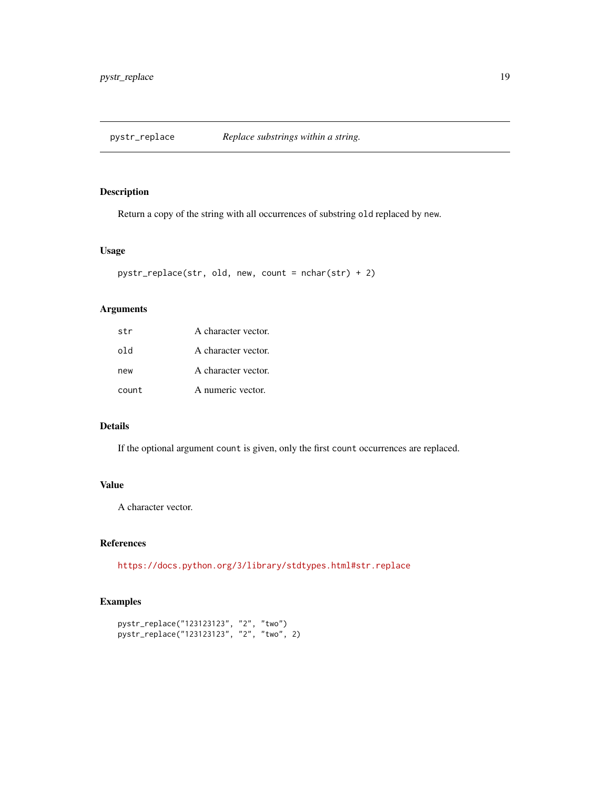<span id="page-18-0"></span>

Return a copy of the string with all occurrences of substring old replaced by new.

## Usage

```
pystr_replace(str, old, new, count = nchar(str) + 2)
```
#### Arguments

| str   | A character vector. |
|-------|---------------------|
| old   | A character vector. |
| new   | A character vector. |
| count | A numeric vector.   |

## Details

If the optional argument count is given, only the first count occurrences are replaced.

#### Value

A character vector.

## References

<https://docs.python.org/3/library/stdtypes.html#str.replace>

```
pystr_replace("123123123", "2", "two")
pystr_replace("123123123", "2", "two", 2)
```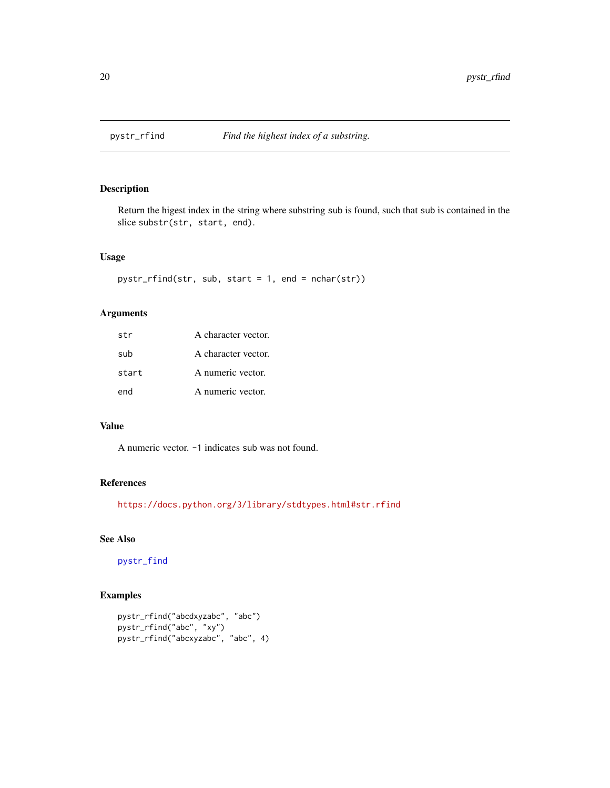<span id="page-19-1"></span><span id="page-19-0"></span>

Return the higest index in the string where substring sub is found, such that sub is contained in the slice substr(str, start, end).

#### Usage

```
pystr_rfind(str, sub, start = 1, end = nchar(str))
```
## Arguments

| str   | A character vector. |
|-------|---------------------|
| sub   | A character vector. |
| start | A numeric vector.   |
| end   | A numeric vector.   |

## Value

A numeric vector. -1 indicates sub was not found.

## References

<https://docs.python.org/3/library/stdtypes.html#str.rfind>

## See Also

[pystr\\_find](#page-5-1)

```
pystr_rfind("abcdxyzabc", "abc")
pystr_rfind("abc", "xy")
pystr_rfind("abcxyzabc", "abc", 4)
```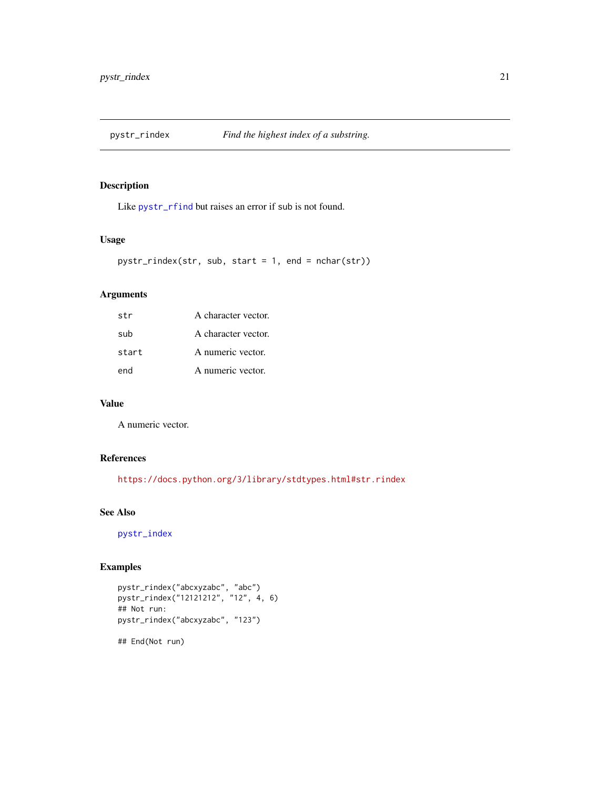<span id="page-20-1"></span><span id="page-20-0"></span>

Like [pystr\\_rfind](#page-19-1) but raises an error if sub is not found.

## Usage

```
pystr_rindex(str, sub, start = 1, end = nchar(str))
```
## Arguments

| str   | A character vector. |
|-------|---------------------|
| sub   | A character vector. |
| start | A numeric vector.   |
| end   | A numeric vector.   |

#### Value

A numeric vector.

#### References

<https://docs.python.org/3/library/stdtypes.html#str.rindex>

#### See Also

[pystr\\_index](#page-7-1)

## Examples

```
pystr_rindex("abcxyzabc", "abc")
pystr_rindex("12121212", "12", 4, 6)
## Not run:
pystr_rindex("abcxyzabc", "123")
```
## End(Not run)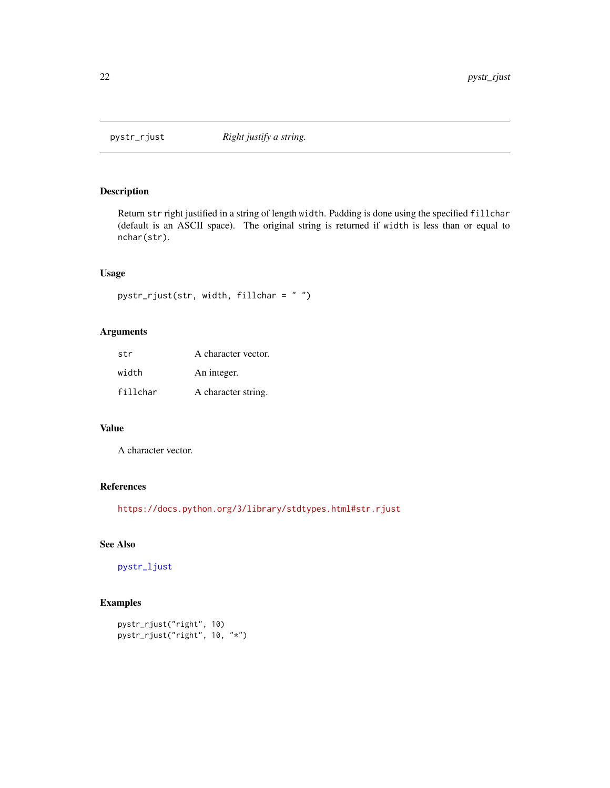<span id="page-21-1"></span><span id="page-21-0"></span>

Return str right justified in a string of length width. Padding is done using the specified fillchar (default is an ASCII space). The original string is returned if width is less than or equal to nchar(str).

## Usage

```
pystr_rjust(str, width, fillchar = " ")
```
## Arguments

| str      | A character vector. |
|----------|---------------------|
| width    | An integer.         |
| fillchar | A character string. |

## Value

A character vector.

## References

<https://docs.python.org/3/library/stdtypes.html#str.rjust>

## See Also

[pystr\\_ljust](#page-13-1)

```
pystr_rjust("right", 10)
pystr_rjust("right", 10, "*")
```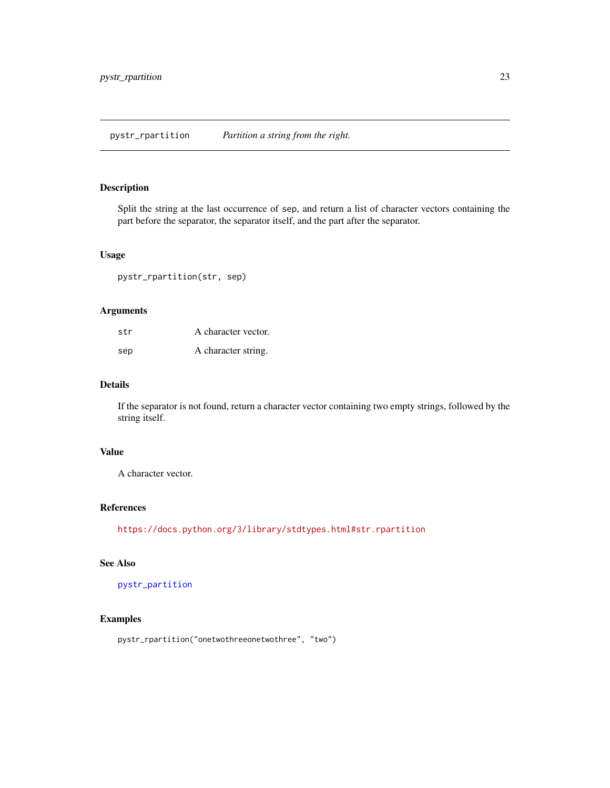<span id="page-22-1"></span><span id="page-22-0"></span>Split the string at the last occurrence of sep, and return a list of character vectors containing the part before the separator, the separator itself, and the part after the separator.

#### Usage

pystr\_rpartition(str, sep)

#### Arguments

| str | A character vector. |
|-----|---------------------|
| sep | A character string. |

## Details

If the separator is not found, return a character vector containing two empty strings, followed by the string itself.

### Value

A character vector.

## References

<https://docs.python.org/3/library/stdtypes.html#str.rpartition>

## See Also

[pystr\\_partition](#page-17-1)

## Examples

pystr\_rpartition("onetwothreeonetwothree", "two")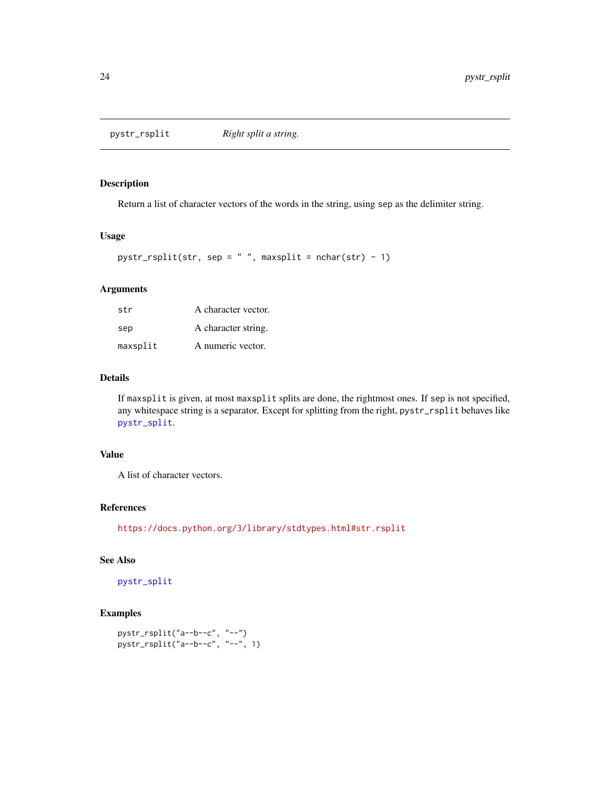<span id="page-23-1"></span><span id="page-23-0"></span>

Return a list of character vectors of the words in the string, using sep as the delimiter string.

#### Usage

```
pystr_rsplit(str, sep = " ", maxsplit = nchar(str) - 1)
```
## Arguments

| str      | A character vector. |
|----------|---------------------|
| sep      | A character string. |
| maxsplit | A numeric vector.   |

### Details

If maxsplit is given, at most maxsplit splits are done, the rightmost ones. If sep is not specified, any whitespace string is a separator. Except for splitting from the right, pystr\_rsplit behaves like [pystr\\_split](#page-25-1).

## Value

A list of character vectors.

#### References

<https://docs.python.org/3/library/stdtypes.html#str.rsplit>

#### See Also

[pystr\\_split](#page-25-1)

```
pystr_rsplit("a--b--c", "--")
pystr_rsplit("a--b--c", "--", 1)
```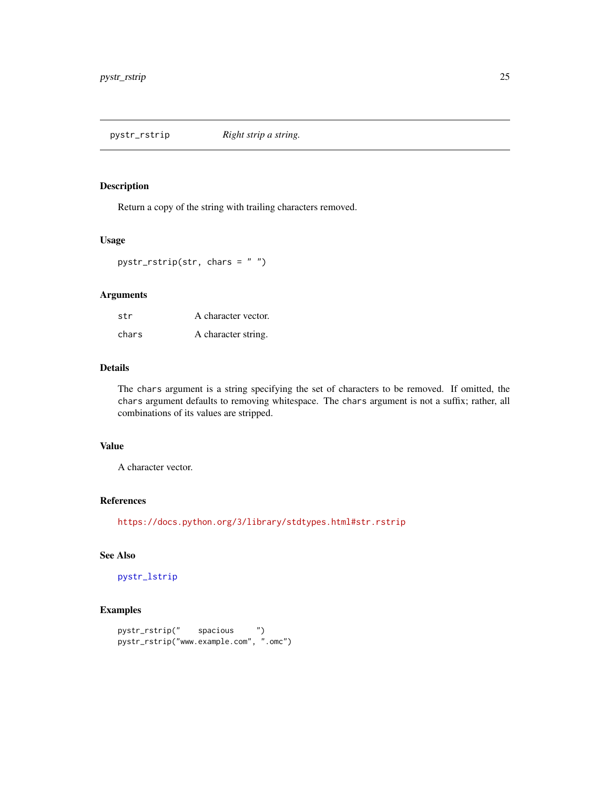<span id="page-24-1"></span><span id="page-24-0"></span>pystr\_rstrip *Right strip a string.*

#### Description

Return a copy of the string with trailing characters removed.

## Usage

pystr\_rstrip(str, chars = " ")

## Arguments

| str   | A character vector. |
|-------|---------------------|
| chars | A character string. |

#### Details

The chars argument is a string specifying the set of characters to be removed. If omitted, the chars argument defaults to removing whitespace. The chars argument is not a suffix; rather, all combinations of its values are stripped.

## Value

A character vector.

## References

<https://docs.python.org/3/library/stdtypes.html#str.rstrip>

## See Also

[pystr\\_lstrip](#page-15-1)

```
pystr_rstrip(" spacious ")
pystr_rstrip("www.example.com", ".omc")
```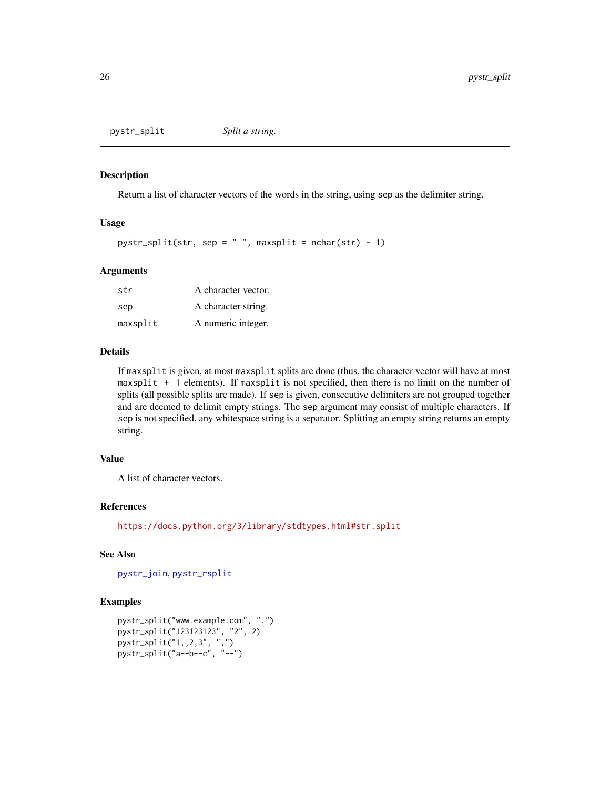<span id="page-25-1"></span><span id="page-25-0"></span>pystr\_split *Split a string.*

## Description

Return a list of character vectors of the words in the string, using sep as the delimiter string.

#### Usage

pystr\_split(str, sep =  $" "$ , maxsplit = nchar(str) - 1)

#### Arguments

| str      | A character vector. |
|----------|---------------------|
| sep      | A character string. |
| maxsplit | A numeric integer.  |

#### Details

If maxsplit is given, at most maxsplit splits are done (thus, the character vector will have at most maxsplit + 1 elements). If maxsplit is not specified, then there is no limit on the number of splits (all possible splits are made). If sep is given, consecutive delimiters are not grouped together and are deemed to delimit empty strings. The sep argument may consist of multiple characters. If sep is not specified, any whitespace string is a separator. Splitting an empty string returns an empty string.

## Value

A list of character vectors.

#### References

<https://docs.python.org/3/library/stdtypes.html#str.split>

## See Also

[pystr\\_join](#page-13-2), [pystr\\_rsplit](#page-23-1)

```
pystr_split("www.example.com", ".")
pystr_split("123123123", "2", 2)
pystr_split("1,,2,3", ",")
pystr_split("a--b--c", "--")
```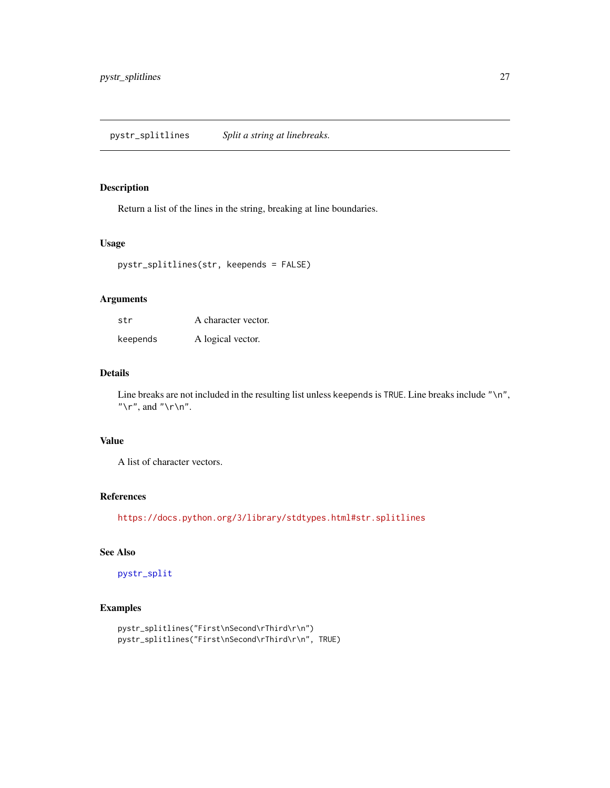<span id="page-26-0"></span>Return a list of the lines in the string, breaking at line boundaries.

## Usage

```
pystr_splitlines(str, keepends = FALSE)
```
#### Arguments

| str      | A character vector. |
|----------|---------------------|
| keepends | A logical vector.   |

#### Details

Line breaks are not included in the resulting list unless keepends is TRUE. Line breaks include "\n", " $\mathcal{L}$ ", and " $\mathcal{L}$ ".

## Value

A list of character vectors.

#### References

<https://docs.python.org/3/library/stdtypes.html#str.splitlines>

## See Also

[pystr\\_split](#page-25-1)

```
pystr_splitlines("First\nSecond\rThird\r\n")
pystr_splitlines("First\nSecond\rThird\r\n", TRUE)
```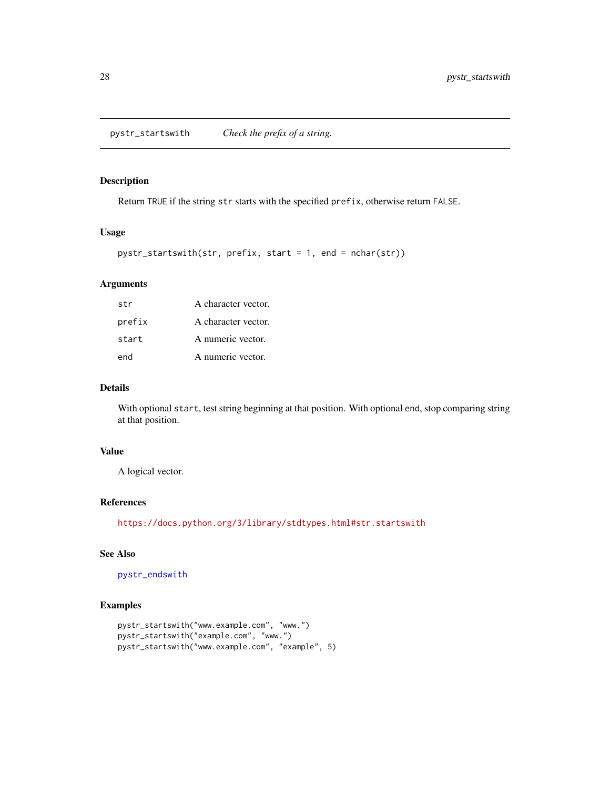<span id="page-27-1"></span><span id="page-27-0"></span>Return TRUE if the string str starts with the specified prefix, otherwise return FALSE.

## Usage

```
pystr_startswith(str, prefix, start = 1, end = nchar(str))
```
## Arguments

| str    | A character vector. |
|--------|---------------------|
| prefix | A character vector. |
| start  | A numeric vector.   |
| end    | A numeric vector.   |

#### Details

With optional start, test string beginning at that position. With optional end, stop comparing string at that position.

## Value

A logical vector.

## References

<https://docs.python.org/3/library/stdtypes.html#str.startswith>

## See Also

[pystr\\_endswith](#page-4-1)

```
pystr_startswith("www.example.com", "www.")
pystr_startswith("example.com", "www.")
pystr_startswith("www.example.com", "example", 5)
```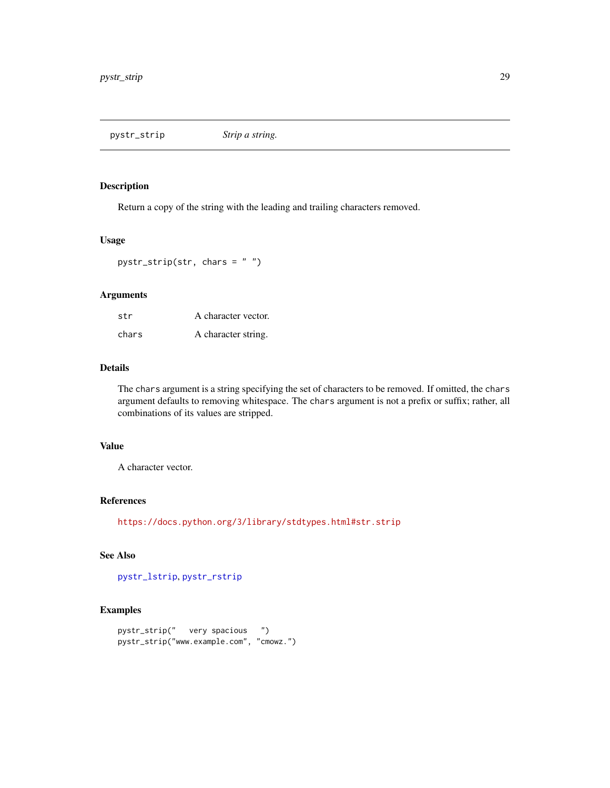<span id="page-28-0"></span>pystr\_strip *Strip a string.*

#### Description

Return a copy of the string with the leading and trailing characters removed.

## Usage

pystr\_strip(str, chars = " ")

## Arguments

| str   | A character vector. |
|-------|---------------------|
| chars | A character string. |

#### Details

The chars argument is a string specifying the set of characters to be removed. If omitted, the chars argument defaults to removing whitespace. The chars argument is not a prefix or suffix; rather, all combinations of its values are stripped.

## Value

A character vector.

#### References

<https://docs.python.org/3/library/stdtypes.html#str.strip>

## See Also

[pystr\\_lstrip](#page-15-1), [pystr\\_rstrip](#page-24-1)

```
pystr_strip(" very spacious ")
pystr_strip("www.example.com", "cmowz.")
```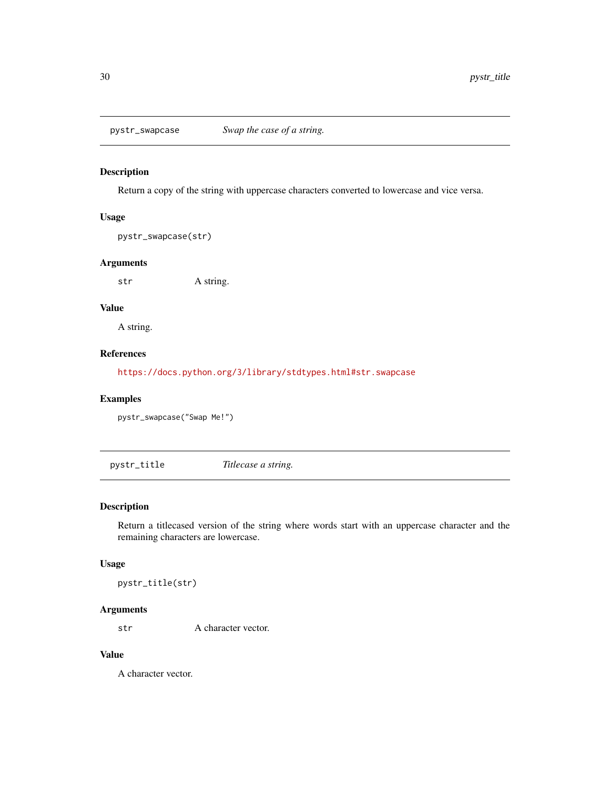<span id="page-29-0"></span>

Return a copy of the string with uppercase characters converted to lowercase and vice versa.

#### Usage

pystr\_swapcase(str)

## Arguments

str A string.

## Value

A string.

## References

<https://docs.python.org/3/library/stdtypes.html#str.swapcase>

## Examples

pystr\_swapcase("Swap Me!")

<span id="page-29-1"></span>pystr\_title *Titlecase a string.*

#### Description

Return a titlecased version of the string where words start with an uppercase character and the remaining characters are lowercase.

## Usage

pystr\_title(str)

## Arguments

str A character vector.

#### Value

A character vector.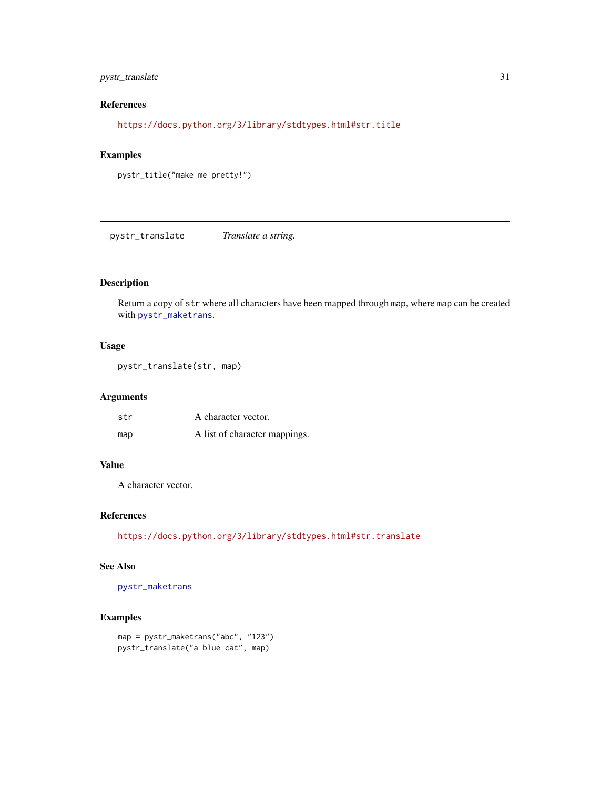## <span id="page-30-0"></span>pystr\_translate 31

## References

<https://docs.python.org/3/library/stdtypes.html#str.title>

#### Examples

```
pystr_title("make me pretty!")
```
<span id="page-30-1"></span>pystr\_translate *Translate a string.*

## Description

Return a copy of str where all characters have been mapped through map, where map can be created with [pystr\\_maketrans](#page-16-1).

## Usage

pystr\_translate(str, map)

#### Arguments

| str | A character vector.           |
|-----|-------------------------------|
| map | A list of character mappings. |

## Value

A character vector.

## References

<https://docs.python.org/3/library/stdtypes.html#str.translate>

#### See Also

[pystr\\_maketrans](#page-16-1)

```
map = pystr_maketrans("abc", "123")
pystr_translate("a blue cat", map)
```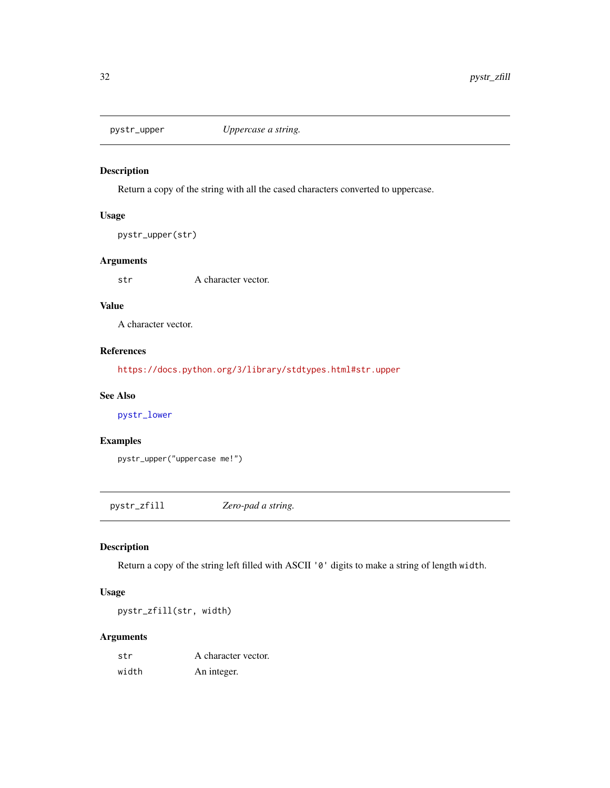<span id="page-31-1"></span><span id="page-31-0"></span>

Return a copy of the string with all the cased characters converted to uppercase.

#### Usage

```
pystr_upper(str)
```
### Arguments

str A character vector.

#### Value

A character vector.

## References

<https://docs.python.org/3/library/stdtypes.html#str.upper>

## See Also

[pystr\\_lower](#page-14-1)

## Examples

pystr\_upper("uppercase me!")

pystr\_zfill *Zero-pad a string.*

## Description

Return a copy of the string left filled with ASCII '0' digits to make a string of length width.

## Usage

pystr\_zfill(str, width)

#### Arguments

| str   | A character vector. |
|-------|---------------------|
| width | An integer.         |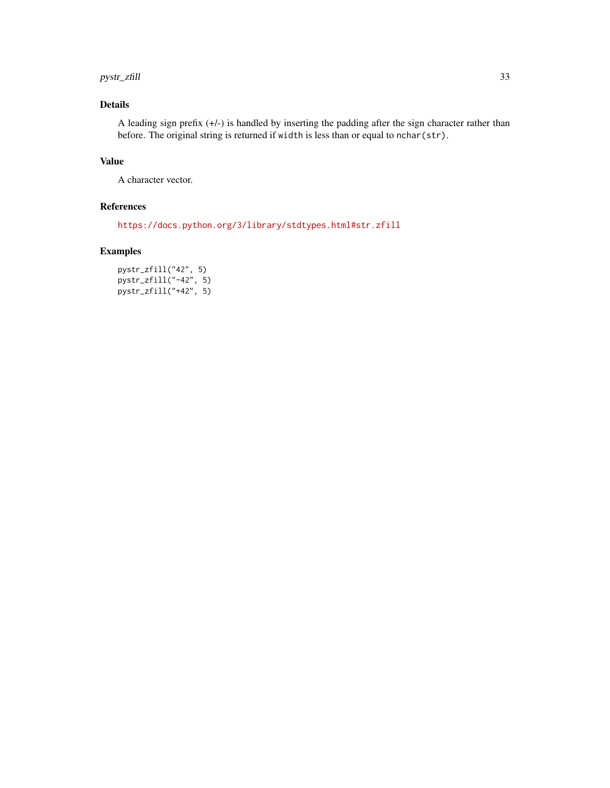#### pystr\_zfill 33

## Details

A leading sign prefix (+/-) is handled by inserting the padding after the sign character rather than before. The original string is returned if width is less than or equal to nchar(str).

## Value

A character vector.

## References

<https://docs.python.org/3/library/stdtypes.html#str.zfill>

## Examples

pystr\_zfill("42", 5) pystr\_zfill("-42", 5) pystr\_zfill("+42", 5)